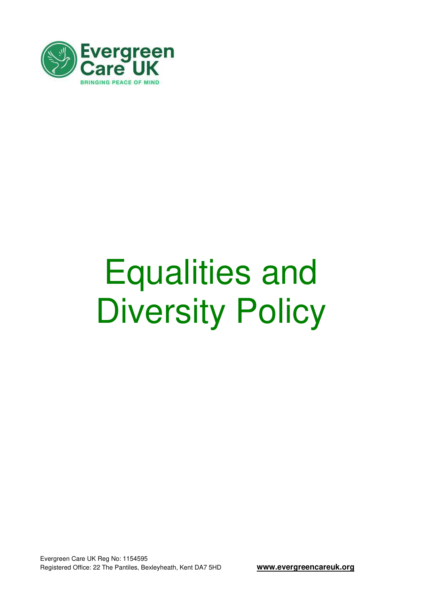

## Equalities and Diversity Policy